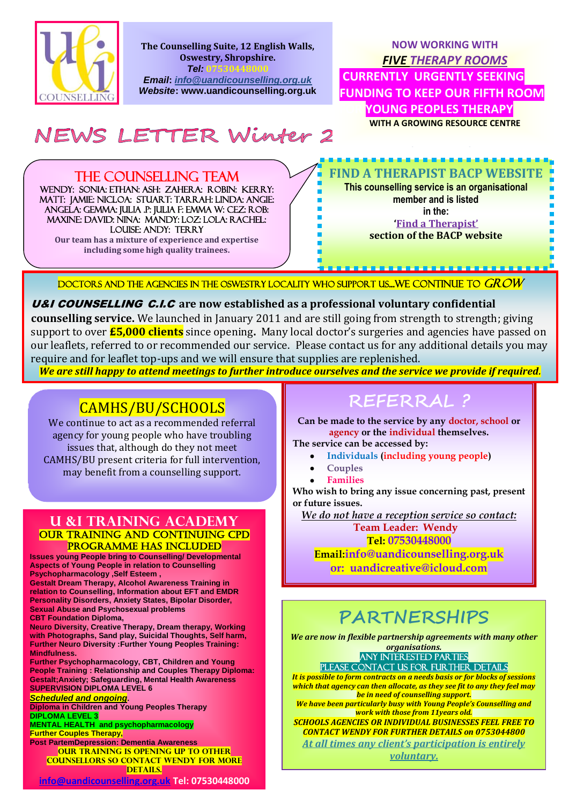

**The Counselling Suite, 12 English Walls, Oswestry, Shropshire.** *Tel:* **07530448000**

*Email***:** *info@uandicounselling.org.uk Website***: www.uandicounselling.org.uk**

### **NOW WORKING WITH**  *FIVE THERAPY ROOMS*

**CURRENTLY URGENTLY SEEKING FUNDING TO KEEP OUR FIFTH ROOM FOR YOUNG PEOPLES THERAPY WITH A GROWING RESOURCE CENTRE**

NEWS LETTER Winter 2

## THE COUNSELLING TEAM

WENDY: SONIA: ETHAN: ASH: ZAHERA: ROBIN: KERRY: Matt: Jamie: NICLOA: STUART: TARRAH: LINDA: ANGIE: ANGELA: GEMMA: JULIA .P: JULIA F: EMMA W: CEZ: ROB: MAXINE: DAVID: NINA: MANDY: LOZ: LOLA: RACHEL: LOUISE: ANDY: TERRY **Our team has a mixture of experience and expertise** 

**including some high quality trainees.** 

### **FIND A THERAPIST BACP WEBSITE**

**This counselling service is an organisational member and is listed in the: 'Find a Therapist'**

**section of the BACP website**

DOCTORS AND THE AGENCIES IN THE OSWESTRY LOCALITY WHO SUPPORT US...WE CONTINUE TO GROW

#### U&I COUNSELLING C.I.C **are now established as a professional voluntary confidential**

**counselling service.** We launched in January 2011 and are still going from strength to strength; giving support to over **£5,000 clients** since opening**.** Many local doctor's surgeries and agencies have passed on our leaflets, referred to or recommended our service. Please contact us for any additional details you may require and for leaflet top-ups and we will ensure that supplies are replenished.

*We are still happy to attend meetings to further introduce ourselves and the service we provide if required.*

## CAMHS/BU/SCHOOLS

We continue to act as a recommended referral agency for young people who have troubling issues that, although do they not meet CAMHS/BU present criteria for full intervention, may benefit from a counselling support.

#### **U &I TRAINING ACADEMY**  Our training and continuing CPD PROGRAMME HAS INCLUDED

**Issues young People bring to Counselling/ Developmental Aspects of Young People in relation to Counselling Psychopharmacology ,Self Esteem ,**

**Gestalt Dream Therapy, Alcohol Awareness Training in relation to Counselling, Information about EFT and EMDR Personality Disorders, Anxiety States, Bipolar Disorder, Sexual Abuse and Psychosexual problems CBT Foundation Diploma,** 

**Neuro Diversity, Creative Therapy, Dream therapy, Working with Photographs, Sand play, Suicidal Thoughts, Self harm, Further Neuro Diversity :Further Young Peoples Training: Mindfulness.** 

**Further Psychopharmacology, CBT, Children and Young People Training : Relationship and Couples Therapy Diploma: Gestalt;Anxiety; Safeguarding, Mental Health Awareness SUPERVISION DIPLOMA LEVEL 6**

*Scheduled and ongoing***. Diploma in Children and Young Peoples Therapy DIPLOMA LEVEL 3** 

**MENTAL HEALTH and psychopharmacology Further Couples Therapy, Post PartemDepression: Dementia Awareness**

**OUR TRAINING IS OPENING UP TO OTHER counsellors so contact Wendy for more DETAILS.** 

#### **[info@uandicounselling.org.uk](mailto:info@uandicounselling.org.uk) Tel: 07530448000**

## **REFERRAL ?**

**Can be made to the service by any doctor, school or agency or the individual themselves.**

**The service can be accessed by:**

- **Individuals (including young people)**
- **Couples**
- **Families**

**Who wish to bring any issue concerning past, present or future issues.**

*We do not have a reception service so contact:*

 **Team Leader: Wendy**

**Tel: 07530448000 Email:info@uandicounselling.org.uk**

**or: uandicreative@icloud.com**

# **PARTNERSHIPS**

*We are now in flexible partnership agreements with many other organisations.* 

Any Interested Parties PLEASE CONTACT US FOR FURTHER DETAILS

*It is possible to form contracts on a needs basis or for blocks of sessions which that agency can then allocate, as they see fit to any they feel may be in need of counselling support.*

*We have been particularly busy with Young People's Counselling and work with those from 11years old.*

*SCHOOLS AGENCIES OR INDIVIDUAL BUSINESSES FEEL FREE TO CONTACT WENDY FOR FURTHER DETAILS on 0753044800 At all times any client's participation is entirely*

*voluntary.*